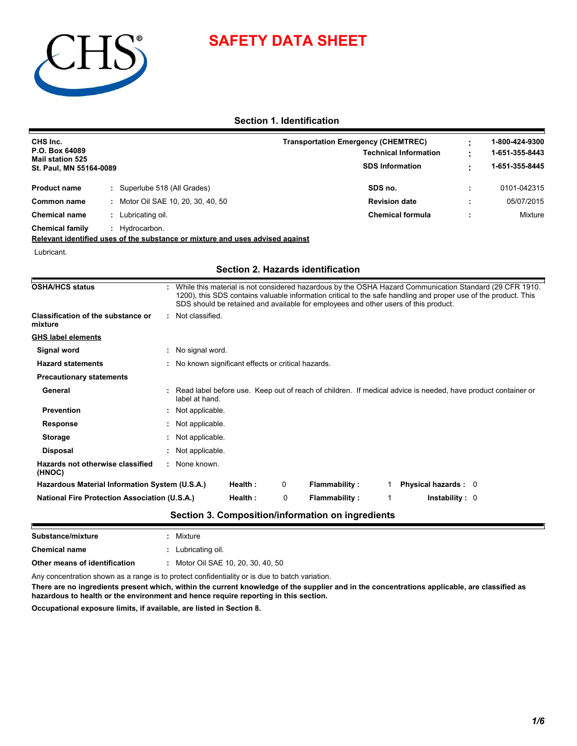

# **SAFETY DATA SHEET**

**Section 1. Identification**

| CHS Inc.<br>P.O. Box 64089<br><b>Mail station 525</b><br>St. Paul, MN 55164-0089 |  |                                  | <b>Transportation Emergency (CHEMTREC)</b><br><b>Technical Information</b><br><b>SDS Information</b> | 1-800-424-9300<br>1-651-355-8443<br>1-651-355-8445 |
|----------------------------------------------------------------------------------|--|----------------------------------|------------------------------------------------------------------------------------------------------|----------------------------------------------------|
| <b>Product name</b>                                                              |  | Superlube 518 (All Grades)       | SDS no.                                                                                              | 0101-042315                                        |
| Common name                                                                      |  | Motor Oil SAE 10, 20, 30, 40, 50 | <b>Revision date</b>                                                                                 | 05/07/2015                                         |
| <b>Chemical name</b>                                                             |  | Lubricating oil.                 | <b>Chemical formula</b>                                                                              | Mixture                                            |
| <b>Chemical family</b>                                                           |  | Hydrocarbon.                     |                                                                                                      |                                                    |

**Relevant identified uses of the substance or mixture and uses advised against**

Lubricant.

### **Section 2. Hazards identification**

| <b>OSHA/HCS status</b>                               |                   |                                                     |         |   | SDS should be retained and available for employees and other users of this product. |  | While this material is not considered hazardous by the OSHA Hazard Communication Standard (29 CFR 1910.<br>1200), this SDS contains valuable information critical to the safe handling and proper use of the product. This |
|------------------------------------------------------|-------------------|-----------------------------------------------------|---------|---|-------------------------------------------------------------------------------------|--|----------------------------------------------------------------------------------------------------------------------------------------------------------------------------------------------------------------------------|
| <b>Classification of the substance or</b><br>mixture |                   | : Not classified.                                   |         |   |                                                                                     |  |                                                                                                                                                                                                                            |
| <b>GHS label elements</b>                            |                   |                                                     |         |   |                                                                                     |  |                                                                                                                                                                                                                            |
| Signal word                                          | : No signal word. |                                                     |         |   |                                                                                     |  |                                                                                                                                                                                                                            |
| <b>Hazard statements</b>                             |                   | : No known significant effects or critical hazards. |         |   |                                                                                     |  |                                                                                                                                                                                                                            |
| <b>Precautionary statements</b>                      |                   |                                                     |         |   |                                                                                     |  |                                                                                                                                                                                                                            |
| General                                              |                   | label at hand.                                      |         |   |                                                                                     |  | : Read label before use. Keep out of reach of children. If medical advice is needed, have product container or                                                                                                             |
| <b>Prevention</b>                                    |                   | : Not applicable.                                   |         |   |                                                                                     |  |                                                                                                                                                                                                                            |
| <b>Response</b>                                      |                   | : Not applicable.                                   |         |   |                                                                                     |  |                                                                                                                                                                                                                            |
| <b>Storage</b>                                       |                   | : Not applicable.                                   |         |   |                                                                                     |  |                                                                                                                                                                                                                            |
| Disposal                                             |                   | : Not applicable.                                   |         |   |                                                                                     |  |                                                                                                                                                                                                                            |
| Hazards not otherwise classified<br>(HNOC)           |                   | : None known.                                       |         |   |                                                                                     |  |                                                                                                                                                                                                                            |
|                                                      |                   |                                                     | Health: | 0 | <b>Flammability:</b>                                                                |  | <b>Physical hazards: 0</b>                                                                                                                                                                                                 |
| Hazardous Material Information System (U.S.A.)       |                   |                                                     |         |   |                                                                                     |  |                                                                                                                                                                                                                            |

| Substance/mixture                                                                              |  | Mixture                            |  |  |  |
|------------------------------------------------------------------------------------------------|--|------------------------------------|--|--|--|
| <b>Chemical name</b>                                                                           |  | : Lubricating oil.                 |  |  |  |
| Other means of identification                                                                  |  | : Motor Oil SAE 10, 20, 30, 40, 50 |  |  |  |
| Any concentration shown as a range is to protect confidentiality or is due to batch variation. |  |                                    |  |  |  |

**There are no ingredients present which, within the current knowledge of the supplier and in the concentrations applicable, are classified as hazardous to health or the environment and hence require reporting in this section.**

**Occupational exposure limits, if available, are listed in Section 8.**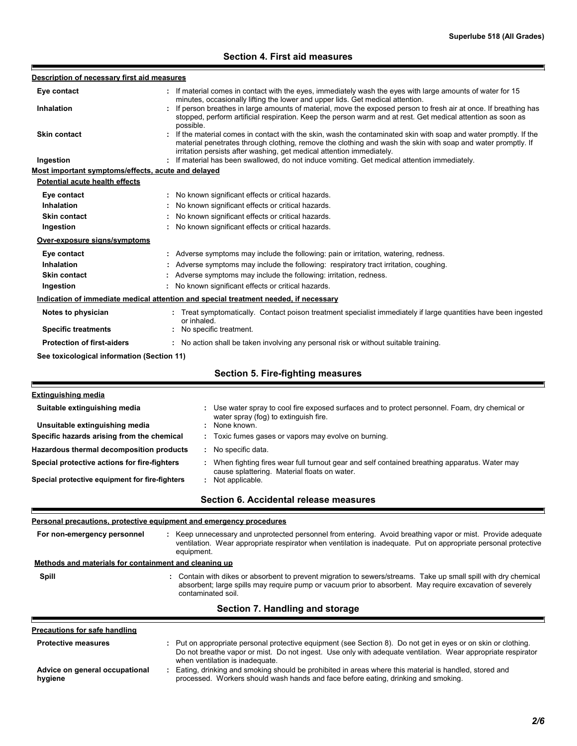## **Section 4. First aid measures**

| Description of necessary first aid measures                                                                                                        |                                                                                                                                                                                                                                                                                                                  |  |  |  |  |
|----------------------------------------------------------------------------------------------------------------------------------------------------|------------------------------------------------------------------------------------------------------------------------------------------------------------------------------------------------------------------------------------------------------------------------------------------------------------------|--|--|--|--|
| Eye contact                                                                                                                                        | If material comes in contact with the eyes, immediately wash the eyes with large amounts of water for 15                                                                                                                                                                                                         |  |  |  |  |
| <b>Inhalation</b>                                                                                                                                  | minutes, occasionally lifting the lower and upper lids. Get medical attention.<br>If person breathes in large amounts of material, move the exposed person to fresh air at once. If breathing has<br>stopped, perform artificial respiration. Keep the person warm and at rest. Get medical attention as soon as |  |  |  |  |
| <b>Skin contact</b>                                                                                                                                | possible.<br>If the material comes in contact with the skin, wash the contaminated skin with soap and water promptly. If the<br>material penetrates through clothing, remove the clothing and wash the skin with soap and water promptly. If                                                                     |  |  |  |  |
| Ingestion                                                                                                                                          | irritation persists after washing, get medical attention immediately.<br>: If material has been swallowed, do not induce vomiting. Get medical attention immediately.                                                                                                                                            |  |  |  |  |
| Most important symptoms/effects, acute and delayed                                                                                                 |                                                                                                                                                                                                                                                                                                                  |  |  |  |  |
| <b>Potential acute health effects</b>                                                                                                              |                                                                                                                                                                                                                                                                                                                  |  |  |  |  |
| Eye contact                                                                                                                                        | : No known significant effects or critical hazards.                                                                                                                                                                                                                                                              |  |  |  |  |
| <b>Inhalation</b>                                                                                                                                  | : No known significant effects or critical hazards.                                                                                                                                                                                                                                                              |  |  |  |  |
| <b>Skin contact</b>                                                                                                                                | : No known significant effects or critical hazards.                                                                                                                                                                                                                                                              |  |  |  |  |
| Ingestion                                                                                                                                          | : No known significant effects or critical hazards.                                                                                                                                                                                                                                                              |  |  |  |  |
| Over-exposure signs/symptoms                                                                                                                       |                                                                                                                                                                                                                                                                                                                  |  |  |  |  |
| Eye contact                                                                                                                                        | : Adverse symptoms may include the following: pain or irritation, watering, redness.                                                                                                                                                                                                                             |  |  |  |  |
| Inhalation                                                                                                                                         | Adverse symptoms may include the following: respiratory tract irritation, coughing.                                                                                                                                                                                                                              |  |  |  |  |
| <b>Skin contact</b>                                                                                                                                | Adverse symptoms may include the following: irritation, redness.                                                                                                                                                                                                                                                 |  |  |  |  |
| Ingestion                                                                                                                                          | : No known significant effects or critical hazards.                                                                                                                                                                                                                                                              |  |  |  |  |
|                                                                                                                                                    | Indication of immediate medical attention and special treatment needed, if necessary                                                                                                                                                                                                                             |  |  |  |  |
| Notes to physician<br>Treat symptomatically. Contact poison treatment specialist immediately if large quantities have been ingested<br>or inhaled. |                                                                                                                                                                                                                                                                                                                  |  |  |  |  |
| <b>Specific treatments</b>                                                                                                                         | : No specific treatment.                                                                                                                                                                                                                                                                                         |  |  |  |  |
| <b>Protection of first-aiders</b>                                                                                                                  | : No action shall be taken involving any personal risk or without suitable training.                                                                                                                                                                                                                             |  |  |  |  |
| See toxicological information (Section 11)                                                                                                         |                                                                                                                                                                                                                                                                                                                  |  |  |  |  |
|                                                                                                                                                    | <b>Section 5. Fire-fighting measures</b>                                                                                                                                                                                                                                                                         |  |  |  |  |
|                                                                                                                                                    |                                                                                                                                                                                                                                                                                                                  |  |  |  |  |
| <b>Extinguishing media</b>                                                                                                                         |                                                                                                                                                                                                                                                                                                                  |  |  |  |  |
| Suitable extinguishing media                                                                                                                       | Use water spray to cool fire exposed surfaces and to protect personnel. Foam, dry chemical or<br>water spray (fog) to extinguish fire.<br>None known.                                                                                                                                                            |  |  |  |  |
| Unsuitable extinguishing media<br>Specific hazards arising from the chemical                                                                       | Toxic fumes gases or vapors may evolve on burning.                                                                                                                                                                                                                                                               |  |  |  |  |
|                                                                                                                                                    |                                                                                                                                                                                                                                                                                                                  |  |  |  |  |
| Hazardous thermal decomposition products                                                                                                           | : No specific data.                                                                                                                                                                                                                                                                                              |  |  |  |  |
| Special protective actions for fire-fighters<br>Special protective equipment for fire-fighters                                                     | : When fighting fires wear full turnout gear and self contained breathing apparatus. Water may<br>cause splattering. Material floats on water.<br>: Not applicable.                                                                                                                                              |  |  |  |  |
|                                                                                                                                                    |                                                                                                                                                                                                                                                                                                                  |  |  |  |  |
|                                                                                                                                                    | Section 6. Accidental release measures                                                                                                                                                                                                                                                                           |  |  |  |  |
|                                                                                                                                                    | Personal precautions, protective equipment and emergency procedures                                                                                                                                                                                                                                              |  |  |  |  |
| For non-emergency personnel                                                                                                                        | : Keep unnecessary and unprotected personnel from entering. Avoid breathing vapor or mist. Provide adequate<br>ventilation. Wear appropriate respirator when ventilation is inadequate. Put on appropriate personal protective<br>equipment.                                                                     |  |  |  |  |
| Methods and materials for containment and cleaning up                                                                                              |                                                                                                                                                                                                                                                                                                                  |  |  |  |  |
| Spill                                                                                                                                              | : Contain with dikes or absorbent to prevent migration to sewers/streams. Take up small spill with dry chemical                                                                                                                                                                                                  |  |  |  |  |
|                                                                                                                                                    | absorbent; large spills may require pump or vacuum prior to absorbent. May require excavation of severely<br>contaminated soil.                                                                                                                                                                                  |  |  |  |  |
|                                                                                                                                                    | Section 7. Handling and storage                                                                                                                                                                                                                                                                                  |  |  |  |  |
| <b>Precautions for safe handling</b>                                                                                                               |                                                                                                                                                                                                                                                                                                                  |  |  |  |  |
|                                                                                                                                                    |                                                                                                                                                                                                                                                                                                                  |  |  |  |  |
| <b>Protective measures</b>                                                                                                                         | : Put on appropriate personal protective equipment (see Section 8). Do not get in eyes or on skin or clothing.<br>Do not breathe vapor or mist. Do not ingest. Use only with adequate ventilation. Wear appropriate respirator<br>when ventilation is inadequate.                                                |  |  |  |  |
| Advice on general occupational<br>hygiene                                                                                                          | : Eating, drinking and smoking should be prohibited in areas where this material is handled, stored and<br>processed. Workers should wash hands and face before eating, drinking and smoking.                                                                                                                    |  |  |  |  |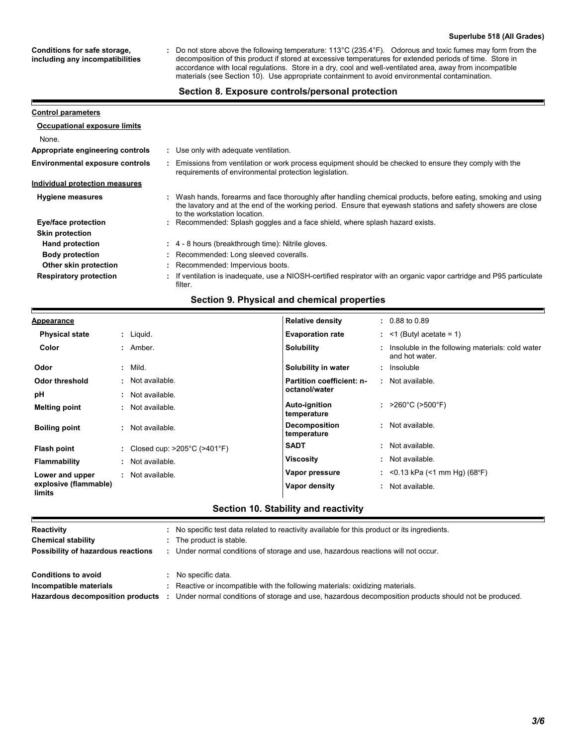#### **Superlube 518 (All Grades)**

**Conditions for safe storage, including any incompatibilities**

Р

Do not store above the following temperature: 113°C (235.4°F). Odorous and toxic fumes may form from the decomposition of this product if stored at excessive temperatures for extended periods of time. Store in accordance with local regulations. Store in a dry, cool and well-ventilated area, away from incompatible materials (see Section 10). Use appropriate containment to avoid environmental contamination. **:**

#### **Section 8. Exposure controls/personal protection**

| <b>Control parameters</b>              |                                                                                                                                                                                                                                                               |
|----------------------------------------|---------------------------------------------------------------------------------------------------------------------------------------------------------------------------------------------------------------------------------------------------------------|
| <b>Occupational exposure limits</b>    |                                                                                                                                                                                                                                                               |
| None.                                  |                                                                                                                                                                                                                                                               |
| Appropriate engineering controls       | : Use only with adequate ventilation.                                                                                                                                                                                                                         |
| <b>Environmental exposure controls</b> | Emissions from ventilation or work process equipment should be checked to ensure they comply with the<br>requirements of environmental protection legislation.                                                                                                |
| Individual protection measures         |                                                                                                                                                                                                                                                               |
| <b>Hygiene measures</b>                | : Wash hands, forearms and face thoroughly after handling chemical products, before eating, smoking and using<br>the lavatory and at the end of the working period. Ensure that eyewash stations and safety showers are close<br>to the workstation location. |
| Eye/face protection                    | : Recommended: Splash goggles and a face shield, where splash hazard exists.                                                                                                                                                                                  |
| <b>Skin protection</b>                 |                                                                                                                                                                                                                                                               |
| <b>Hand protection</b>                 | : 4 - 8 hours (breakthrough time): Nitrile gloves.                                                                                                                                                                                                            |
| <b>Body protection</b>                 | : Recommended: Long sleeved coveralls.                                                                                                                                                                                                                        |
| Other skin protection                  | : Recommended: Impervious boots.                                                                                                                                                                                                                              |
| <b>Respiratory protection</b>          | : If ventilation is inadequate, use a NIOSH-certified respirator with an organic vapor cartridge and P95 particulate<br>filter.                                                                                                                               |

#### **Section 9. Physical and chemical properties**

| <b>Appearance</b>               |                                                    | <b>Relative density</b>             | $: 0.88$ to 0.89                                                     |
|---------------------------------|----------------------------------------------------|-------------------------------------|----------------------------------------------------------------------|
| <b>Physical state</b>           | $:$ Liquid.                                        | <b>Evaporation rate</b>             | $:$ <1 (Butyl acetate = 1)                                           |
| Color                           | : Amber.                                           | <b>Solubility</b>                   | : Insoluble in the following materials: cold water<br>and hot water. |
| Odor                            | $:$ Mild.                                          | Solubility in water                 | : Insoluble                                                          |
| Odor threshold                  | · Not available.                                   | Partition coefficient: n-           | : Not available.                                                     |
| рH                              | Not available.                                     | octanol/water                       |                                                                      |
| <b>Melting point</b>            | Not available.<br>÷.                               | <b>Auto-ignition</b><br>temperature | : $>260^{\circ}$ C ( $>500^{\circ}$ F)                               |
| <b>Boiling point</b>            | : Not available.                                   | <b>Decomposition</b><br>temperature | : Not available.                                                     |
| Flash point                     | : Closed cup: $>205^{\circ}$ C ( $>401^{\circ}$ F) | <b>SADT</b>                         | : Not available.                                                     |
| <b>Flammability</b>             | : Not available.                                   | <b>Viscosity</b>                    | : Not available.                                                     |
| Lower and upper                 | Not available.                                     | Vapor pressure                      | : < 0.13 kPa (< 1 mm Hg) (68°F)                                      |
| explosive (flammable)<br>limits |                                                    | Vapor density                       | : Not available.                                                     |

## **Section 10. Stability and reactivity**

| Reactivity                         | No specific test data related to reactivity available for this product or its ingredients.           |
|------------------------------------|------------------------------------------------------------------------------------------------------|
| <b>Chemical stability</b>          | The product is stable.                                                                               |
| Possibility of hazardous reactions | Under normal conditions of storage and use, hazardous reactions will not occur.                      |
| <b>Conditions to avoid</b>         | No specific data.                                                                                    |
| Incompatible materials             | Reactive or incompatible with the following materials: oxidizing materials.                          |
| Hazardous decomposition products   | Under normal conditions of storage and use, hazardous decomposition products should not be produced. |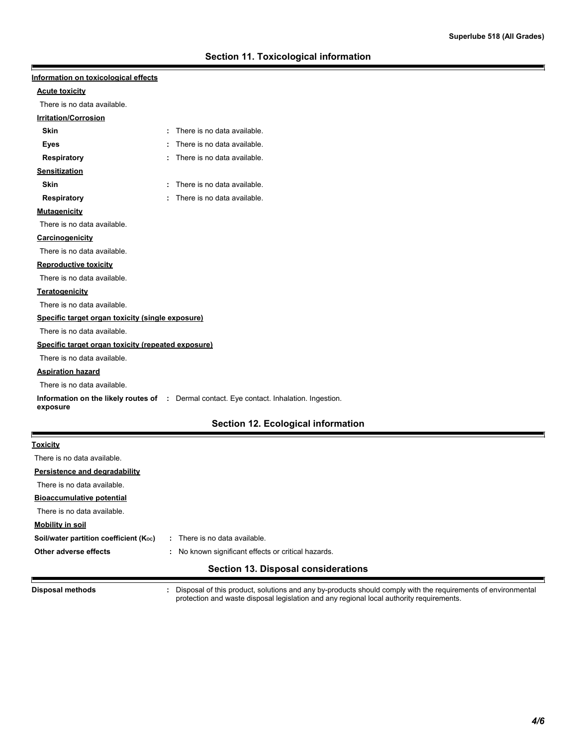| Information on toxicological effects               |                                                                                           |
|----------------------------------------------------|-------------------------------------------------------------------------------------------|
| <b>Acute toxicity</b>                              |                                                                                           |
| There is no data available.                        |                                                                                           |
| Irritation/Corrosion                               |                                                                                           |
| <b>Skin</b>                                        | : There is no data available.                                                             |
| Eyes                                               | There is no data available.                                                               |
| <b>Respiratory</b>                                 | There is no data available.                                                               |
| <b>Sensitization</b>                               |                                                                                           |
| <b>Skin</b>                                        | There is no data available.                                                               |
| <b>Respiratory</b>                                 | There is no data available.                                                               |
| <b>Mutagenicity</b>                                |                                                                                           |
| There is no data available.                        |                                                                                           |
| Carcinogenicity                                    |                                                                                           |
| There is no data available.                        |                                                                                           |
| <b>Reproductive toxicity</b>                       |                                                                                           |
| There is no data available.                        |                                                                                           |
| <b>Teratogenicity</b>                              |                                                                                           |
| There is no data available.                        |                                                                                           |
| Specific target organ toxicity (single exposure)   |                                                                                           |
| There is no data available.                        |                                                                                           |
| Specific target organ toxicity (repeated exposure) |                                                                                           |
| There is no data available.                        |                                                                                           |
| <b>Aspiration hazard</b>                           |                                                                                           |
| There is no data available.                        |                                                                                           |
| exposure                                           | Information on the likely routes of : Dermal contact. Eye contact. Inhalation. Ingestion. |
|                                                    | Section 12. Ecological information                                                        |
| <b>Toxicity</b>                                    |                                                                                           |
| There is no data available.                        |                                                                                           |
| Persistence and degradability                      |                                                                                           |
| There is no data available.                        |                                                                                           |
| <b>Bioaccumulative potential</b>                   |                                                                                           |
| There is no data available.                        |                                                                                           |
| <u>Mobility in soil</u>                            |                                                                                           |
| Soil/water partition coefficient (Koc)             | : There is no data available.                                                             |
| Other adverse effects                              | : No known significant effects or critical hazards.                                       |

## **Section 13. Disposal considerations**

**Disposal methods :**

E

ı

Disposal of this product, solutions and any by-products should comply with the requirements of environmental protection and waste disposal legislation and any regional local authority requirements.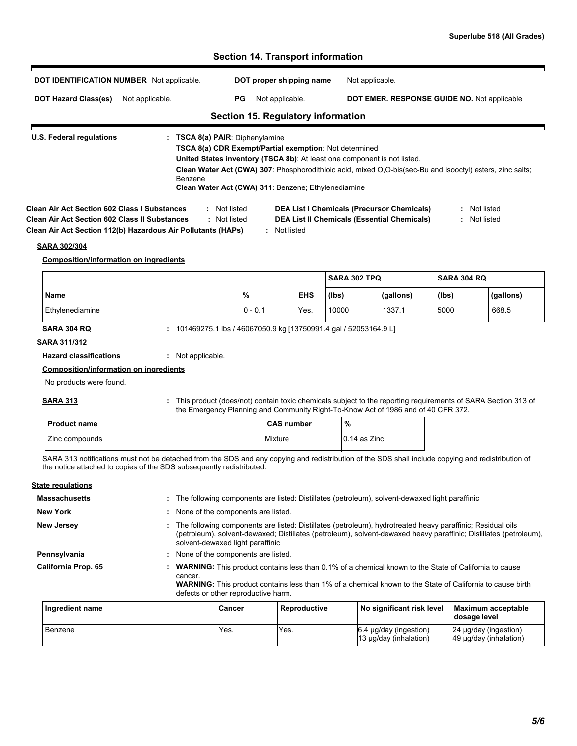## **Section 14. Transport information DOT IDENTIFICATION NUMBER** Not applicable. **DOT proper shipping name** Not applicable. DOT Hazard Class(es) Not applicable. PG Not applicable. **DOT EMER. RESPONSE GUIDE NO.** Not applicable **Section 15. Regulatory information** F **U.S. Federal regulations : TSCA 8(a) PAIR**: Diphenylamine **TSCA 8(a) CDR Exempt/Partial exemption**: Not determined **United States inventory (TSCA 8b)**: At least one component is not listed. **Clean Water Act (CWA) 307**: Phosphorodithioic acid, mixed O,O-bis(sec-Bu and isooctyl) esters, zinc salts; Benzene **Clean Water Act (CWA) 311**: Benzene; Ethylenediamine **Clean Air Act Section 602 Class I Substances :** Not listed **DEA List I Chemicals (Precursor Chemicals) :** Not listed **Clean Air Act Section 602 Class II Substances :** Not listed **DEA List II Chemicals (Essential Chemicals) :** Not listed **Clean Air Act Section 112(b) Hazardous Air Pollutants (HAPs) :** Not listed **SARA 302/304 Composition/information on ingredients SARA 302 TPQ SARA 304 RQ Name % EHS (lbs) (gallons) (lbs) (gallons)** Ethylenediamine 0 - 0.1 Yes. 10000 1337.1 5000 668.5 **SARA 304 RQ :** 101469275.1 lbs / 46067050.9 kg [13750991.4 gal / 52053164.9 L] **SARA 311/312 Hazard classifications :** Not applicable. **Composition/information on ingredients** No products were found.

#### **SARA 313**

This product (does/not) contain toxic chemicals subject to the reporting requirements of SARA Section 313 of the Emergency Planning and Community Right-To-Know Act of 1986 and of 40 CFR 372. **:**

| <b>Product name</b> | <b>CAS number</b> | %              |
|---------------------|-------------------|----------------|
| Zinc compounds      | Mixture           | $0.14$ as Zinc |

SARA 313 notifications must not be detached from the SDS and any copying and redistribution of the SDS shall include copying and redistribution of the notice attached to copies of the SDS subsequently redistributed.

#### **State regulations**

| <b>Massachusetts</b> |                                                                                                                                                                                                                                                                     | The following components are listed: Distillates (petroleum), solvent-dewaxed light paraffinic |              |                                                                                                                                                                                                                                  |                                                 |  |  |
|----------------------|---------------------------------------------------------------------------------------------------------------------------------------------------------------------------------------------------------------------------------------------------------------------|------------------------------------------------------------------------------------------------|--------------|----------------------------------------------------------------------------------------------------------------------------------------------------------------------------------------------------------------------------------|-------------------------------------------------|--|--|
| <b>New York</b>      | ÷.                                                                                                                                                                                                                                                                  | None of the components are listed.                                                             |              |                                                                                                                                                                                                                                  |                                                 |  |  |
| <b>New Jersey</b>    | The following components are listed: Distillates (petroleum), hydrotreated heavy paraffinic; Residual oils<br>(petroleum), solvent-dewaxed; Distillates (petroleum), solvent-dewaxed heavy paraffinic; Distillates (petroleum),<br>solvent-dewaxed light paraffinic |                                                                                                |              |                                                                                                                                                                                                                                  |                                                 |  |  |
| Pennsylvania         | : None of the components are listed.                                                                                                                                                                                                                                |                                                                                                |              |                                                                                                                                                                                                                                  |                                                 |  |  |
| California Prop. 65  | cancer.                                                                                                                                                                                                                                                             | defects or other reproductive harm.                                                            |              | <b>WARNING:</b> This product contains less than 0.1% of a chemical known to the State of California to cause<br><b>WARNING:</b> This product contains less than 1% of a chemical known to the State of California to cause birth |                                                 |  |  |
| Ingredient name      |                                                                                                                                                                                                                                                                     | Cancer                                                                                         | Reproductive | No significant risk level                                                                                                                                                                                                        | <b>Maximum acceptable</b><br>dosage level       |  |  |
| Benzene              |                                                                                                                                                                                                                                                                     | Yes.                                                                                           | Yes.         | 6.4 µg/day (ingestion)<br>13 µg/day (inhalation)                                                                                                                                                                                 | 24 µg/day (ingestion)<br>49 µg/day (inhalation) |  |  |